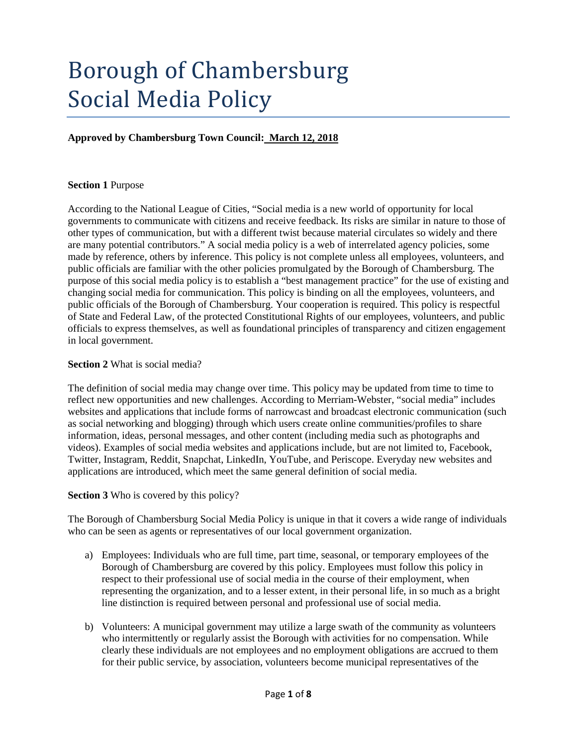# Borough of Chambersburg Social Media Policy

## **Approved by Chambersburg Town Council: March 12, 2018**

#### **Section 1** Purpose

According to the National League of Cities, "Social media is a new world of opportunity for local governments to communicate with citizens and receive feedback. Its risks are similar in nature to those of other types of communication, but with a different twist because material circulates so widely and there are many potential contributors." A social media policy is a web of interrelated agency policies, some made by reference, others by inference. This policy is not complete unless all employees, volunteers, and public officials are familiar with the other policies promulgated by the Borough of Chambersburg. The purpose of this social media policy is to establish a "best management practice" for the use of existing and changing social media for communication. This policy is binding on all the employees, volunteers, and public officials of the Borough of Chambersburg. Your cooperation is required. This policy is respectful of State and Federal Law, of the protected Constitutional Rights of our employees, volunteers, and public officials to express themselves, as well as foundational principles of transparency and citizen engagement in local government.

#### **Section 2** What is social media?

The definition of social media may change over time. This policy may be updated from time to time to reflect new opportunities and new challenges. According to Merriam-Webster, "social media" includes websites and applications that include forms of narrowcast and broadcast electronic communication (such as social networking and blogging) through which users create online communities/profiles to share information, ideas, personal messages, and other content (including media such as photographs and videos). Examples of social media websites and applications include, but are not limited to, Facebook, Twitter, Instagram, Reddit, Snapchat, LinkedIn, YouTube, and Periscope. Everyday new websites and applications are introduced, which meet the same general definition of social media.

#### **Section 3** Who is covered by this policy?

The Borough of Chambersburg Social Media Policy is unique in that it covers a wide range of individuals who can be seen as agents or representatives of our local government organization.

- a) Employees: Individuals who are full time, part time, seasonal, or temporary employees of the Borough of Chambersburg are covered by this policy. Employees must follow this policy in respect to their professional use of social media in the course of their employment, when representing the organization, and to a lesser extent, in their personal life, in so much as a bright line distinction is required between personal and professional use of social media.
- b) Volunteers: A municipal government may utilize a large swath of the community as volunteers who intermittently or regularly assist the Borough with activities for no compensation. While clearly these individuals are not employees and no employment obligations are accrued to them for their public service, by association, volunteers become municipal representatives of the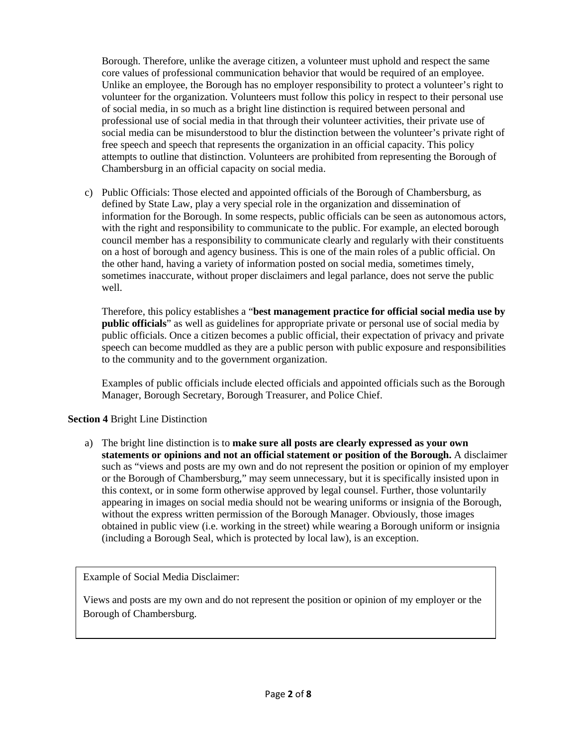Borough. Therefore, unlike the average citizen, a volunteer must uphold and respect the same core values of professional communication behavior that would be required of an employee. Unlike an employee, the Borough has no employer responsibility to protect a volunteer's right to volunteer for the organization. Volunteers must follow this policy in respect to their personal use of social media, in so much as a bright line distinction is required between personal and professional use of social media in that through their volunteer activities, their private use of social media can be misunderstood to blur the distinction between the volunteer's private right of free speech and speech that represents the organization in an official capacity. This policy attempts to outline that distinction. Volunteers are prohibited from representing the Borough of Chambersburg in an official capacity on social media.

c) Public Officials: Those elected and appointed officials of the Borough of Chambersburg, as defined by State Law, play a very special role in the organization and dissemination of information for the Borough. In some respects, public officials can be seen as autonomous actors, with the right and responsibility to communicate to the public. For example, an elected borough council member has a responsibility to communicate clearly and regularly with their constituents on a host of borough and agency business. This is one of the main roles of a public official. On the other hand, having a variety of information posted on social media, sometimes timely, sometimes inaccurate, without proper disclaimers and legal parlance, does not serve the public well.

Therefore, this policy establishes a "**best management practice for official social media use by public officials**" as well as guidelines for appropriate private or personal use of social media by public officials. Once a citizen becomes a public official, their expectation of privacy and private speech can become muddled as they are a public person with public exposure and responsibilities to the community and to the government organization.

Examples of public officials include elected officials and appointed officials such as the Borough Manager, Borough Secretary, Borough Treasurer, and Police Chief.

## **Section 4** Bright Line Distinction

a) The bright line distinction is to **make sure all posts are clearly expressed as your own statements or opinions and not an official statement or position of the Borough.** A disclaimer such as "views and posts are my own and do not represent the position or opinion of my employer or the Borough of Chambersburg," may seem unnecessary, but it is specifically insisted upon in this context, or in some form otherwise approved by legal counsel. Further, those voluntarily appearing in images on social media should not be wearing uniforms or insignia of the Borough, without the express written permission of the Borough Manager. Obviously, those images obtained in public view (i.e. working in the street) while wearing a Borough uniform or insignia (including a Borough Seal, which is protected by local law), is an exception.

Example of Social Media Disclaimer:

Views and posts are my own and do not represent the position or opinion of my employer or the Borough of Chambersburg.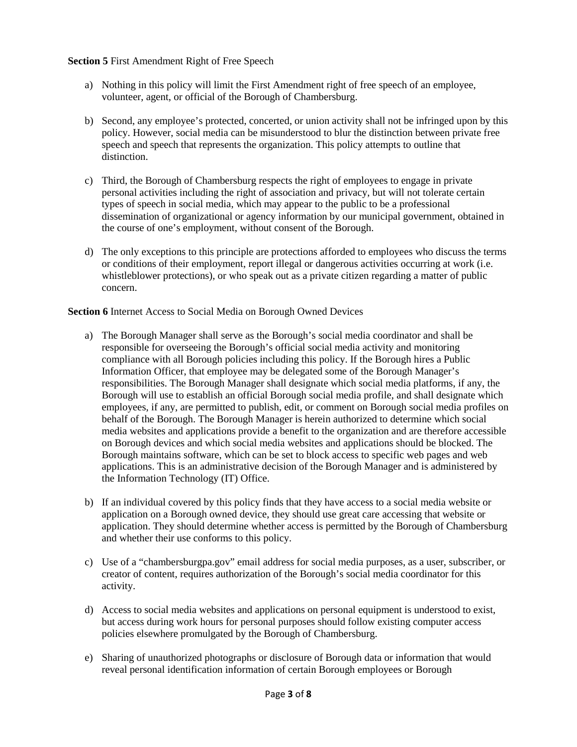#### **Section 5** First Amendment Right of Free Speech

- a) Nothing in this policy will limit the First Amendment right of free speech of an employee, volunteer, agent, or official of the Borough of Chambersburg.
- b) Second, any employee's protected, concerted, or union activity shall not be infringed upon by this policy. However, social media can be misunderstood to blur the distinction between private free speech and speech that represents the organization. This policy attempts to outline that distinction.
- c) Third, the Borough of Chambersburg respects the right of employees to engage in private personal activities including the right of association and privacy, but will not tolerate certain types of speech in social media, which may appear to the public to be a professional dissemination of organizational or agency information by our municipal government, obtained in the course of one's employment, without consent of the Borough.
- d) The only exceptions to this principle are protections afforded to employees who discuss the terms or conditions of their employment, report illegal or dangerous activities occurring at work (i.e. whistleblower protections), or who speak out as a private citizen regarding a matter of public concern.

### **Section 6** Internet Access to Social Media on Borough Owned Devices

- a) The Borough Manager shall serve as the Borough's social media coordinator and shall be responsible for overseeing the Borough's official social media activity and monitoring compliance with all Borough policies including this policy. If the Borough hires a Public Information Officer, that employee may be delegated some of the Borough Manager's responsibilities. The Borough Manager shall designate which social media platforms, if any, the Borough will use to establish an official Borough social media profile, and shall designate which employees, if any, are permitted to publish, edit, or comment on Borough social media profiles on behalf of the Borough. The Borough Manager is herein authorized to determine which social media websites and applications provide a benefit to the organization and are therefore accessible on Borough devices and which social media websites and applications should be blocked. The Borough maintains software, which can be set to block access to specific web pages and web applications. This is an administrative decision of the Borough Manager and is administered by the Information Technology (IT) Office.
- b) If an individual covered by this policy finds that they have access to a social media website or application on a Borough owned device, they should use great care accessing that website or application. They should determine whether access is permitted by the Borough of Chambersburg and whether their use conforms to this policy.
- c) Use of a "chambersburgpa.gov" email address for social media purposes, as a user, subscriber, or creator of content, requires authorization of the Borough's social media coordinator for this activity.
- d) Access to social media websites and applications on personal equipment is understood to exist, but access during work hours for personal purposes should follow existing computer access policies elsewhere promulgated by the Borough of Chambersburg.
- e) Sharing of unauthorized photographs or disclosure of Borough data or information that would reveal personal identification information of certain Borough employees or Borough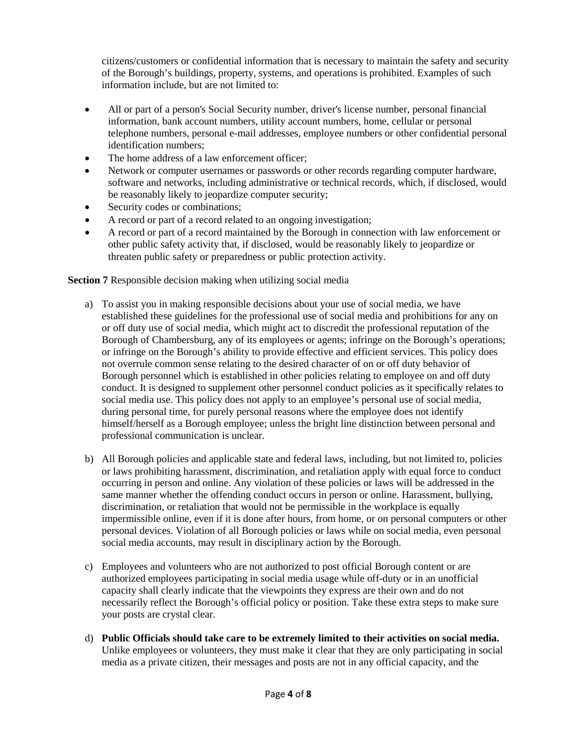citizens/customers or confidential information that is necessary to maintain the safety and security of the Borough's buildings, property, systems, and operations is prohibited. Examples of such information include, but are not limited to:

- All or part of a person's Social Security number, driver's license number, personal financial information, bank account numbers, utility account numbers, home, cellular or personal telephone numbers, personal e-mail addresses, employee numbers or other confidential personal identification numbers;
- The home address of a law enforcement officer:
- Network or computer usernames or passwords or other records regarding computer hardware, software and networks, including administrative or technical records, which, if disclosed, would be reasonably likely to jeopardize computer security;
- Security codes or combinations;
- A record or part of a record related to an ongoing investigation;
- A record or part of a record maintained by the Borough in connection with law enforcement or other public safety activity that, if disclosed, would be reasonably likely to jeopardize or threaten public safety or preparedness or public protection activity.

**Section 7** Responsible decision making when utilizing social media

- a) To assist you in making responsible decisions about your use of social media, we have established these guidelines for the professional use of social media and prohibitions for any on or off duty use of social media, which might act to discredit the professional reputation of the Borough of Chambersburg, any of its employees or agents; infringe on the Borough's operations; or infringe on the Borough's ability to provide effective and efficient services. This policy does not overrule common sense relating to the desired character of on or off duty behavior of Borough personnel which is established in other policies relating to employee on and off duty conduct. It is designed to supplement other personnel conduct policies as it specifically relates to social media use. This policy does not apply to an employee's personal use of social media, during personal time, for purely personal reasons where the employee does not identify himself/herself as a Borough employee; unless the bright line distinction between personal and professional communication is unclear.
- b) All Borough policies and applicable state and federal laws, including, but not limited to, policies or laws prohibiting harassment, discrimination, and retaliation apply with equal force to conduct occurring in person and online. Any violation of these policies or laws will be addressed in the same manner whether the offending conduct occurs in person or online. Harassment, bullying, discrimination, or retaliation that would not be permissible in the workplace is equally impermissible online, even if it is done after hours, from home, or on personal computers or other personal devices. Violation of all Borough policies or laws while on social media, even personal social media accounts, may result in disciplinary action by the Borough.
- c) Employees and volunteers who are not authorized to post official Borough content or are authorized employees participating in social media usage while off-duty or in an unofficial capacity shall clearly indicate that the viewpoints they express are their own and do not necessarily reflect the Borough's official policy or position. Take these extra steps to make sure your posts are crystal clear.
- d) **Public Officials should take care to be extremely limited to their activities on social media.** Unlike employees or volunteers, they must make it clear that they are only participating in social media as a private citizen, their messages and posts are not in any official capacity, and the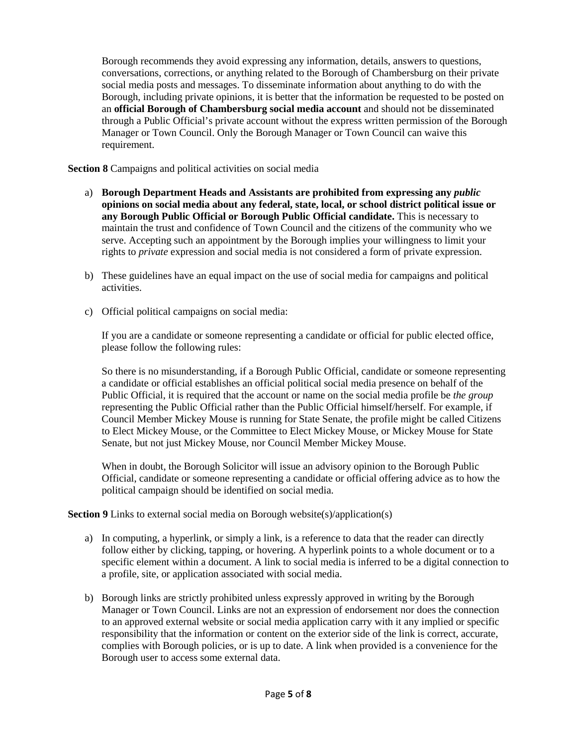Borough recommends they avoid expressing any information, details, answers to questions, conversations, corrections, or anything related to the Borough of Chambersburg on their private social media posts and messages. To disseminate information about anything to do with the Borough, including private opinions, it is better that the information be requested to be posted on an **official Borough of Chambersburg social media account** and should not be disseminated through a Public Official's private account without the express written permission of the Borough Manager or Town Council. Only the Borough Manager or Town Council can waive this requirement.

**Section 8** Campaigns and political activities on social media

- a) **Borough Department Heads and Assistants are prohibited from expressing any** *public* **opinions on social media about any federal, state, local, or school district political issue or any Borough Public Official or Borough Public Official candidate.** This is necessary to maintain the trust and confidence of Town Council and the citizens of the community who we serve. Accepting such an appointment by the Borough implies your willingness to limit your rights to *private* expression and social media is not considered a form of private expression.
- b) These guidelines have an equal impact on the use of social media for campaigns and political activities.
- c) Official political campaigns on social media:

If you are a candidate or someone representing a candidate or official for public elected office, please follow the following rules:

So there is no misunderstanding, if a Borough Public Official, candidate or someone representing a candidate or official establishes an official political social media presence on behalf of the Public Official, it is required that the account or name on the social media profile be *the group* representing the Public Official rather than the Public Official himself/herself. For example, if Council Member Mickey Mouse is running for State Senate, the profile might be called Citizens to Elect Mickey Mouse, or the Committee to Elect Mickey Mouse, or Mickey Mouse for State Senate, but not just Mickey Mouse, nor Council Member Mickey Mouse.

When in doubt, the Borough Solicitor will issue an advisory opinion to the Borough Public Official, candidate or someone representing a candidate or official offering advice as to how the political campaign should be identified on social media.

**Section 9** Links to external social media on Borough website(s)/application(s)

- a) In computing, a hyperlink, or simply a link, is a reference to data that the reader can directly follow either by clicking, tapping, or hovering. A hyperlink points to a whole document or to a specific element within a document. A link to social media is inferred to be a digital connection to a profile, site, or application associated with social media.
- b) Borough links are strictly prohibited unless expressly approved in writing by the Borough Manager or Town Council. Links are not an expression of endorsement nor does the connection to an approved external website or social media application carry with it any implied or specific responsibility that the information or content on the exterior side of the link is correct, accurate, complies with Borough policies, or is up to date. A link when provided is a convenience for the Borough user to access some external data.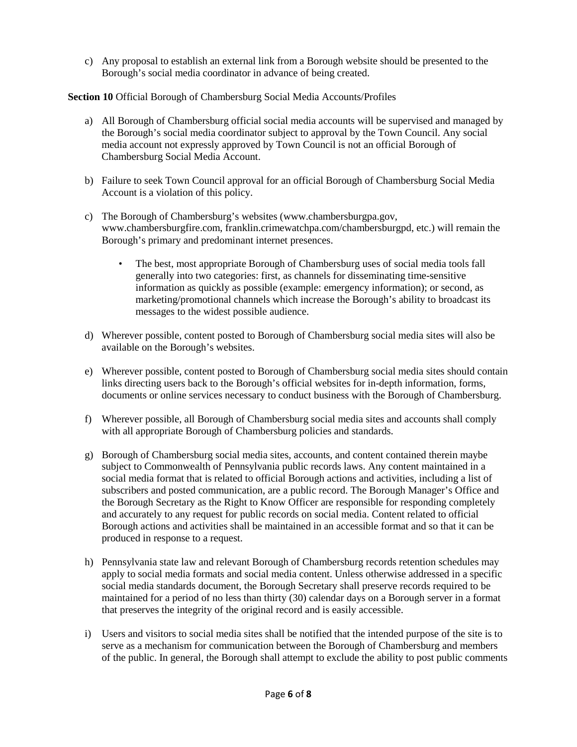c) Any proposal to establish an external link from a Borough website should be presented to the Borough's social media coordinator in advance of being created.

**Section 10** Official Borough of Chambersburg Social Media Accounts/Profiles

- a) All Borough of Chambersburg official social media accounts will be supervised and managed by the Borough's social media coordinator subject to approval by the Town Council. Any social media account not expressly approved by Town Council is not an official Borough of Chambersburg Social Media Account.
- b) Failure to seek Town Council approval for an official Borough of Chambersburg Social Media Account is a violation of this policy.
- c) The Borough of Chambersburg's websites (www.chambersburgpa.gov, www.chambersburgfire.com, franklin.crimewatchpa.com/chambersburgpd, etc.) will remain the Borough's primary and predominant internet presences.
	- The best, most appropriate Borough of Chambersburg uses of social media tools fall generally into two categories: first, as channels for disseminating time-sensitive information as quickly as possible (example: emergency information); or second, as marketing/promotional channels which increase the Borough's ability to broadcast its messages to the widest possible audience.
- d) Wherever possible, content posted to Borough of Chambersburg social media sites will also be available on the Borough's websites.
- e) Wherever possible, content posted to Borough of Chambersburg social media sites should contain links directing users back to the Borough's official websites for in-depth information, forms, documents or online services necessary to conduct business with the Borough of Chambersburg.
- f) Wherever possible, all Borough of Chambersburg social media sites and accounts shall comply with all appropriate Borough of Chambersburg policies and standards.
- g) Borough of Chambersburg social media sites, accounts, and content contained therein maybe subject to Commonwealth of Pennsylvania public records laws. Any content maintained in a social media format that is related to official Borough actions and activities, including a list of subscribers and posted communication, are a public record. The Borough Manager's Office and the Borough Secretary as the Right to Know Officer are responsible for responding completely and accurately to any request for public records on social media. Content related to official Borough actions and activities shall be maintained in an accessible format and so that it can be produced in response to a request.
- h) Pennsylvania state law and relevant Borough of Chambersburg records retention schedules may apply to social media formats and social media content. Unless otherwise addressed in a specific social media standards document, the Borough Secretary shall preserve records required to be maintained for a period of no less than thirty (30) calendar days on a Borough server in a format that preserves the integrity of the original record and is easily accessible.
- i) Users and visitors to social media sites shall be notified that the intended purpose of the site is to serve as a mechanism for communication between the Borough of Chambersburg and members of the public. In general, the Borough shall attempt to exclude the ability to post public comments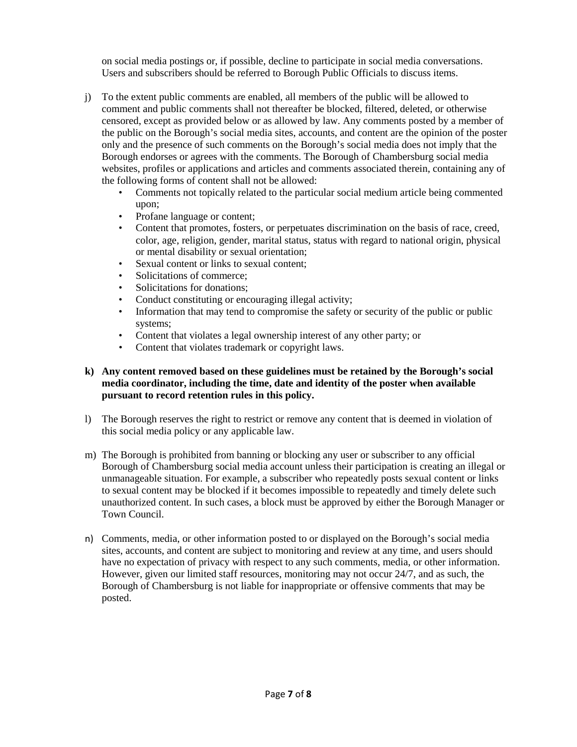on social media postings or, if possible, decline to participate in social media conversations. Users and subscribers should be referred to Borough Public Officials to discuss items.

- j) To the extent public comments are enabled, all members of the public will be allowed to comment and public comments shall not thereafter be blocked, filtered, deleted, or otherwise censored, except as provided below or as allowed by law. Any comments posted by a member of the public on the Borough's social media sites, accounts, and content are the opinion of the poster only and the presence of such comments on the Borough's social media does not imply that the Borough endorses or agrees with the comments. The Borough of Chambersburg social media websites, profiles or applications and articles and comments associated therein, containing any of the following forms of content shall not be allowed:
	- Comments not topically related to the particular social medium article being commented upon;
	- Profane language or content;
	- Content that promotes, fosters, or perpetuates discrimination on the basis of race, creed, color, age, religion, gender, marital status, status with regard to national origin, physical or mental disability or sexual orientation;
	- Sexual content or links to sexual content;
	- Solicitations of commerce:
	- Solicitations for donations;
	- Conduct constituting or encouraging illegal activity;
	- Information that may tend to compromise the safety or security of the public or public systems;
	- Content that violates a legal ownership interest of any other party; or
	- Content that violates trademark or copyright laws.

## **k) Any content removed based on these guidelines must be retained by the Borough's social media coordinator, including the time, date and identity of the poster when available pursuant to record retention rules in this policy.**

- l) The Borough reserves the right to restrict or remove any content that is deemed in violation of this social media policy or any applicable law.
- m) The Borough is prohibited from banning or blocking any user or subscriber to any official Borough of Chambersburg social media account unless their participation is creating an illegal or unmanageable situation. For example, a subscriber who repeatedly posts sexual content or links to sexual content may be blocked if it becomes impossible to repeatedly and timely delete such unauthorized content. In such cases, a block must be approved by either the Borough Manager or Town Council.
- n) Comments, media, or other information posted to or displayed on the Borough's social media sites, accounts, and content are subject to monitoring and review at any time, and users should have no expectation of privacy with respect to any such comments, media, or other information. However, given our limited staff resources, monitoring may not occur 24/7, and as such, the Borough of Chambersburg is not liable for inappropriate or offensive comments that may be posted.